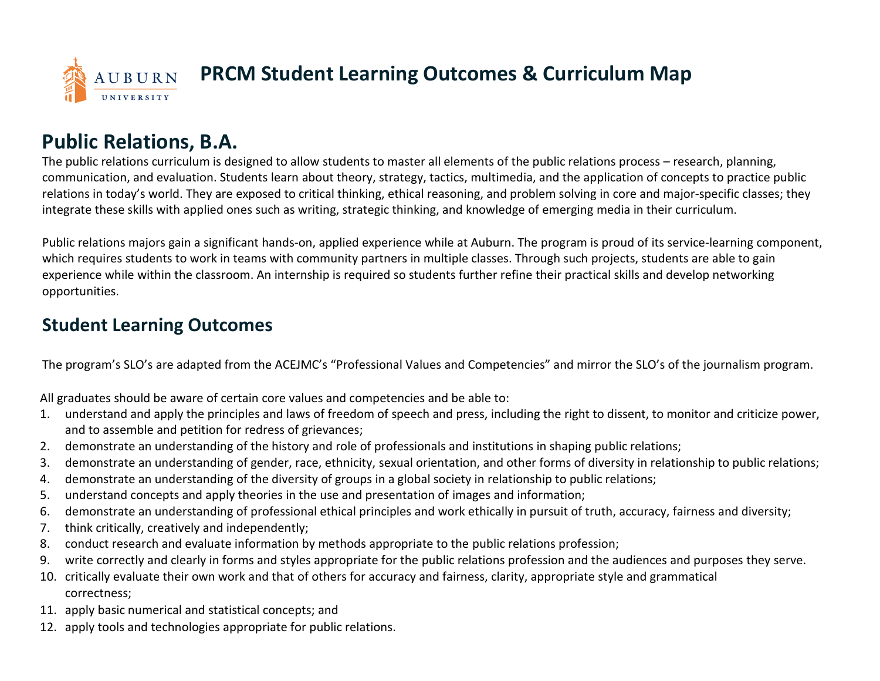

## **Public Relations, B.A.**

The public relations curriculum is designed to allow students to master all elements of the public relations process – research, planning, communication, and evaluation. Students learn about theory, strategy, tactics, multimedia, and the application of concepts to practice public relations in today's world. They are exposed to critical thinking, ethical reasoning, and problem solving in core and major-specific classes; they integrate these skills with applied ones such as writing, strategic thinking, and knowledge of emerging media in their curriculum.

Public relations majors gain a significant hands-on, applied experience while at Auburn. The program is proud of its service-learning component, which requires students to work in teams with community partners in multiple classes. Through such projects, students are able to gain experience while within the classroom. An internship is required so students further refine their practical skills and develop networking opportunities.

## **Student Learning Outcomes**

The program's SLO's are adapted from the ACEJMC's "Professional Values and Competencies" and mirror the SLO's of the journalism program.

All graduates should be aware of certain core values and competencies and be able to:

- 1. understand and apply the principles and laws of freedom of speech and press, including the right to dissent, to monitor and criticize power, and to assemble and petition for redress of grievances;
- 2. demonstrate an understanding of the history and role of professionals and institutions in shaping public relations;
- 3. demonstrate an understanding of gender, race, ethnicity, sexual orientation, and other forms of diversity in relationship to public relations;
- 4. demonstrate an understanding of the diversity of groups in a global society in relationship to public relations;
- 5. understand concepts and apply theories in the use and presentation of images and information;
- 6. demonstrate an understanding of professional ethical principles and work ethically in pursuit of truth, accuracy, fairness and diversity;
- 7. think critically, creatively and independently;
- 8. conduct research and evaluate information by methods appropriate to the public relations profession;
- 9. write correctly and clearly in forms and styles appropriate for the public relations profession and the audiences and purposes they serve.
- 10. critically evaluate their own work and that of others for accuracy and fairness, clarity, appropriate style and grammatical correctness;
- 11. apply basic numerical and statistical concepts; and
- 12. apply tools and technologies appropriate for public relations.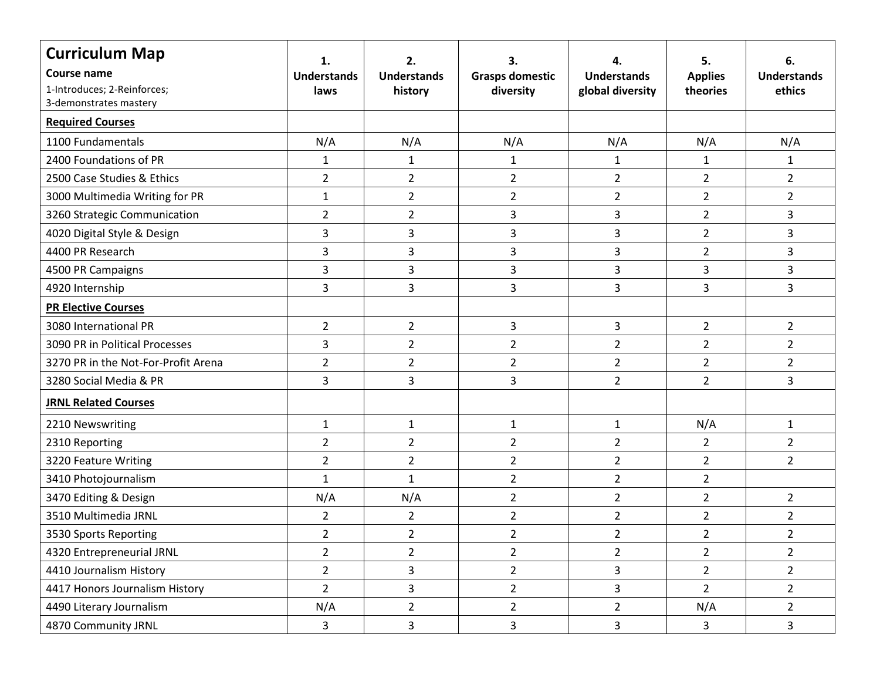| <b>Curriculum Map</b>               | 1.                 | 2.                 | З.                     |                         | 5.             | 6.                 |
|-------------------------------------|--------------------|--------------------|------------------------|-------------------------|----------------|--------------------|
| Course name                         | <b>Understands</b> | <b>Understands</b> | <b>Grasps domestic</b> | <b>Understands</b>      | <b>Applies</b> | <b>Understands</b> |
| 1-Introduces; 2-Reinforces;         | laws               | history            | diversity              | global diversity        | theories       | ethics             |
| 3-demonstrates mastery              |                    |                    |                        |                         |                |                    |
| <b>Required Courses</b>             |                    |                    |                        |                         |                |                    |
| 1100 Fundamentals                   | N/A                | N/A                | N/A                    | N/A                     | N/A            | N/A                |
| 2400 Foundations of PR              | $\mathbf{1}$       | $\mathbf{1}$       | $\mathbf{1}$           | $\mathbf{1}$            | $\mathbf{1}$   | $\mathbf{1}$       |
| 2500 Case Studies & Ethics          | $\overline{2}$     | $\overline{2}$     | $\overline{2}$         | $\overline{2}$          | $\overline{2}$ | $\overline{2}$     |
| 3000 Multimedia Writing for PR      | $\mathbf{1}$       | $\overline{2}$     | $\overline{2}$         | $\overline{2}$          | $\overline{2}$ | $\overline{2}$     |
| 3260 Strategic Communication        | $\overline{2}$     | $\overline{2}$     | 3                      | 3                       | $\overline{2}$ | 3                  |
| 4020 Digital Style & Design         | 3                  | 3                  | $\mathsf{3}$           | 3                       | $\overline{2}$ | 3                  |
| 4400 PR Research                    | 3                  | 3                  | 3                      | 3                       | $\overline{2}$ | 3                  |
| 4500 PR Campaigns                   | 3                  | 3                  | 3                      | 3                       | 3              | 3                  |
| 4920 Internship                     | 3                  | $\overline{3}$     | $\overline{3}$         | 3                       | 3              | 3                  |
| <b>PR Elective Courses</b>          |                    |                    |                        |                         |                |                    |
| 3080 International PR               | $\overline{2}$     | $\overline{2}$     | 3                      | 3                       | $\overline{2}$ | $\overline{2}$     |
| 3090 PR in Political Processes      | 3                  | $\overline{2}$     | $\overline{2}$         | $\overline{2}$          | $\overline{2}$ | $\overline{2}$     |
| 3270 PR in the Not-For-Profit Arena | $\overline{2}$     | $\overline{2}$     | $\overline{2}$         | $\overline{2}$          | $\overline{2}$ | $\overline{2}$     |
| 3280 Social Media & PR              | 3                  | $\overline{3}$     | 3                      | $\overline{2}$          | $\overline{2}$ | 3                  |
| <b>JRNL Related Courses</b>         |                    |                    |                        |                         |                |                    |
| 2210 Newswriting                    | $\mathbf{1}$       | $\mathbf{1}$       | $\mathbf{1}$           | $\mathbf{1}$            | N/A            | $\mathbf{1}$       |
| 2310 Reporting                      | $\overline{2}$     | $\overline{2}$     | $\overline{2}$         | $\overline{2}$          | $\overline{2}$ | $\overline{2}$     |
| 3220 Feature Writing                | $\overline{2}$     | $\overline{2}$     | $\overline{2}$         | $\overline{2}$          | $\overline{2}$ | $\overline{2}$     |
| 3410 Photojournalism                | $\mathbf{1}$       | $\mathbf{1}$       | $\overline{2}$         | $\overline{2}$          | $\overline{2}$ |                    |
| 3470 Editing & Design               | N/A                | N/A                | $\overline{2}$         | $\overline{2}$          | $\overline{2}$ | $\overline{2}$     |
| 3510 Multimedia JRNL                | $\overline{2}$     | $\overline{2}$     | $\overline{2}$         | $\overline{2}$          | $\overline{2}$ | $\overline{a}$     |
| 3530 Sports Reporting               | $\overline{2}$     | $\overline{2}$     | $\overline{2}$         | $\overline{2}$          | $\overline{2}$ | $\overline{2}$     |
| 4320 Entrepreneurial JRNL           | $2^{\circ}$        | $\overline{2}$     | $\overline{2}$         | $\overline{2}$          | $\overline{2}$ | $\overline{2}$     |
| 4410 Journalism History             | $2^{\circ}$        | 3                  | $\overline{2}$         | 3                       | $\overline{2}$ | $\overline{2}$     |
| 4417 Honors Journalism History      | $2^{\circ}$        | $\overline{3}$     | $\overline{2}$         | $\overline{\mathbf{3}}$ | $\overline{2}$ | $\overline{2}$     |
| 4490 Literary Journalism            | N/A                | $\overline{2}$     | $\overline{2}$         | $\overline{2}$          | N/A            | $\overline{2}$     |
| 4870 Community JRNL                 | 3                  | $\overline{3}$     | $\mathbf{3}$           | 3                       | 3              | 3                  |